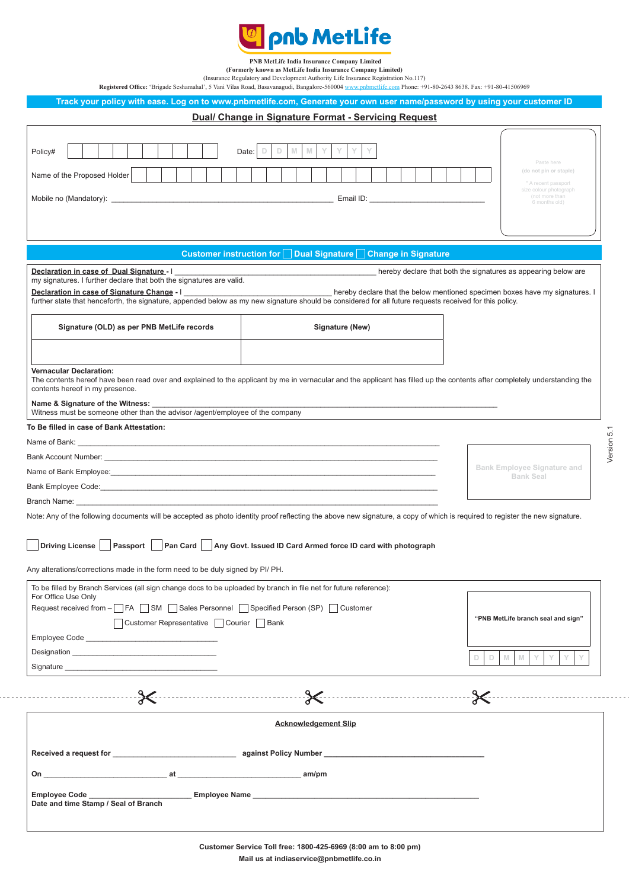

**PNB MetLife India Insurance Company Limited**

**(Formerly known as MetLife India Insurance Company Limited)**

(Insurance Regulatory and Development Authority Life Insurance Registration No.117)<br>Registered Office: 'Brigade Seshamahal', 5 Vani Vilas Road, Basavanagudi, Bangalore-560004 www.pnbmetlife.com Phone: +91-80-2643 8638. Fax

**Track your policy with ease. Log on to www.pnbmetlife.com, Generate your own user name/password by using your customer ID**

| Dual/ Change in Signature Format - Servicing Request                                                                                                                                                                                                                                                                                                                                                                                                                          |                                                                 |                                                                                                                          |  |  |
|-------------------------------------------------------------------------------------------------------------------------------------------------------------------------------------------------------------------------------------------------------------------------------------------------------------------------------------------------------------------------------------------------------------------------------------------------------------------------------|-----------------------------------------------------------------|--------------------------------------------------------------------------------------------------------------------------|--|--|
| Policy#<br>Name of the Proposed Holder                                                                                                                                                                                                                                                                                                                                                                                                                                        | $\mathbb N$<br>M<br>D<br>D<br>Date: $ $                         | Paste here<br>(do not pin or staple)<br>* A recent passport<br>size colour photograph<br>(not more than<br>6 months old) |  |  |
|                                                                                                                                                                                                                                                                                                                                                                                                                                                                               | Customer instruction for □ Dual Signature □ Change in Signature |                                                                                                                          |  |  |
| Declaration in case of Dual Signature - I<br>hereby declare that both the signatures as appearing below are<br>my signatures. I further declare that both the signatures are valid.<br>Declaration in case of Signature Change - I<br>hereby declare that the below mentioned specimen boxes have my signatures. I<br>further state that henceforth, the signature, appended below as my new signature should be considered for all future requests received for this policy. |                                                                 |                                                                                                                          |  |  |
| Signature (OLD) as per PNB MetLife records                                                                                                                                                                                                                                                                                                                                                                                                                                    | Signature (New)                                                 |                                                                                                                          |  |  |
| <b>Vernacular Declaration:</b><br>The contents hereof have been read over and explained to the applicant by me in vernacular and the applicant has filled up the contents after completely understanding the<br>contents hereof in my presence.                                                                                                                                                                                                                               |                                                                 |                                                                                                                          |  |  |
| Name & Signature of the Witness: _<br>Witness must be someone other than the advisor /agent/employee of the company                                                                                                                                                                                                                                                                                                                                                           |                                                                 |                                                                                                                          |  |  |
| To Be filled in case of Bank Attestation:                                                                                                                                                                                                                                                                                                                                                                                                                                     |                                                                 |                                                                                                                          |  |  |
|                                                                                                                                                                                                                                                                                                                                                                                                                                                                               |                                                                 | Version 5.1                                                                                                              |  |  |
|                                                                                                                                                                                                                                                                                                                                                                                                                                                                               |                                                                 |                                                                                                                          |  |  |
|                                                                                                                                                                                                                                                                                                                                                                                                                                                                               |                                                                 | <b>Bank Employee Signature and</b>                                                                                       |  |  |
|                                                                                                                                                                                                                                                                                                                                                                                                                                                                               |                                                                 | <b>Bank Seal</b>                                                                                                         |  |  |
| Branch Name: <u>Executive Contract Contract Contract Contract Contract Contract Contract Contract Contract Contract Contract Contract Contract Contract Contract Contract Contract Contract Contract Contract Contract Contract </u>                                                                                                                                                                                                                                          |                                                                 |                                                                                                                          |  |  |
| Note: Any of the following documents will be accepted as photo identity proof reflecting the above new signature, a copy of which is required to register the new signature.                                                                                                                                                                                                                                                                                                  |                                                                 |                                                                                                                          |  |  |
| Driving License   Passport   Pan Card   Any Govt. Issued ID Card Armed force ID card with photograph                                                                                                                                                                                                                                                                                                                                                                          |                                                                 |                                                                                                                          |  |  |
| Any alterations/corrections made in the form need to be duly signed by PI/ PH.                                                                                                                                                                                                                                                                                                                                                                                                |                                                                 |                                                                                                                          |  |  |
| To be filled by Branch Services (all sign change docs to be uploaded by branch in file net for future reference):<br>For Office Use Only                                                                                                                                                                                                                                                                                                                                      |                                                                 |                                                                                                                          |  |  |
| Request received from - T FA T SM T Sales Personnel T Specified Person (SP) T Customer<br>□ Customer Representative □ Courier □ Bank                                                                                                                                                                                                                                                                                                                                          | "PNB MetLife branch seal and sign"                              |                                                                                                                          |  |  |
|                                                                                                                                                                                                                                                                                                                                                                                                                                                                               |                                                                 | M<br>M<br>Y<br>Y<br>D<br>D                                                                                               |  |  |
| $\sim$ . The set of $\sim$                                                                                                                                                                                                                                                                                                                                                                                                                                                    |                                                                 | -ि≪                                                                                                                      |  |  |
| <b>Acknowledgement Slip</b>                                                                                                                                                                                                                                                                                                                                                                                                                                                   |                                                                 |                                                                                                                          |  |  |
|                                                                                                                                                                                                                                                                                                                                                                                                                                                                               |                                                                 |                                                                                                                          |  |  |
|                                                                                                                                                                                                                                                                                                                                                                                                                                                                               |                                                                 |                                                                                                                          |  |  |
| Employee Code _________________________Employee Name ___________________________<br>Date and time Stamp / Seal of Branch                                                                                                                                                                                                                                                                                                                                                      |                                                                 |                                                                                                                          |  |  |